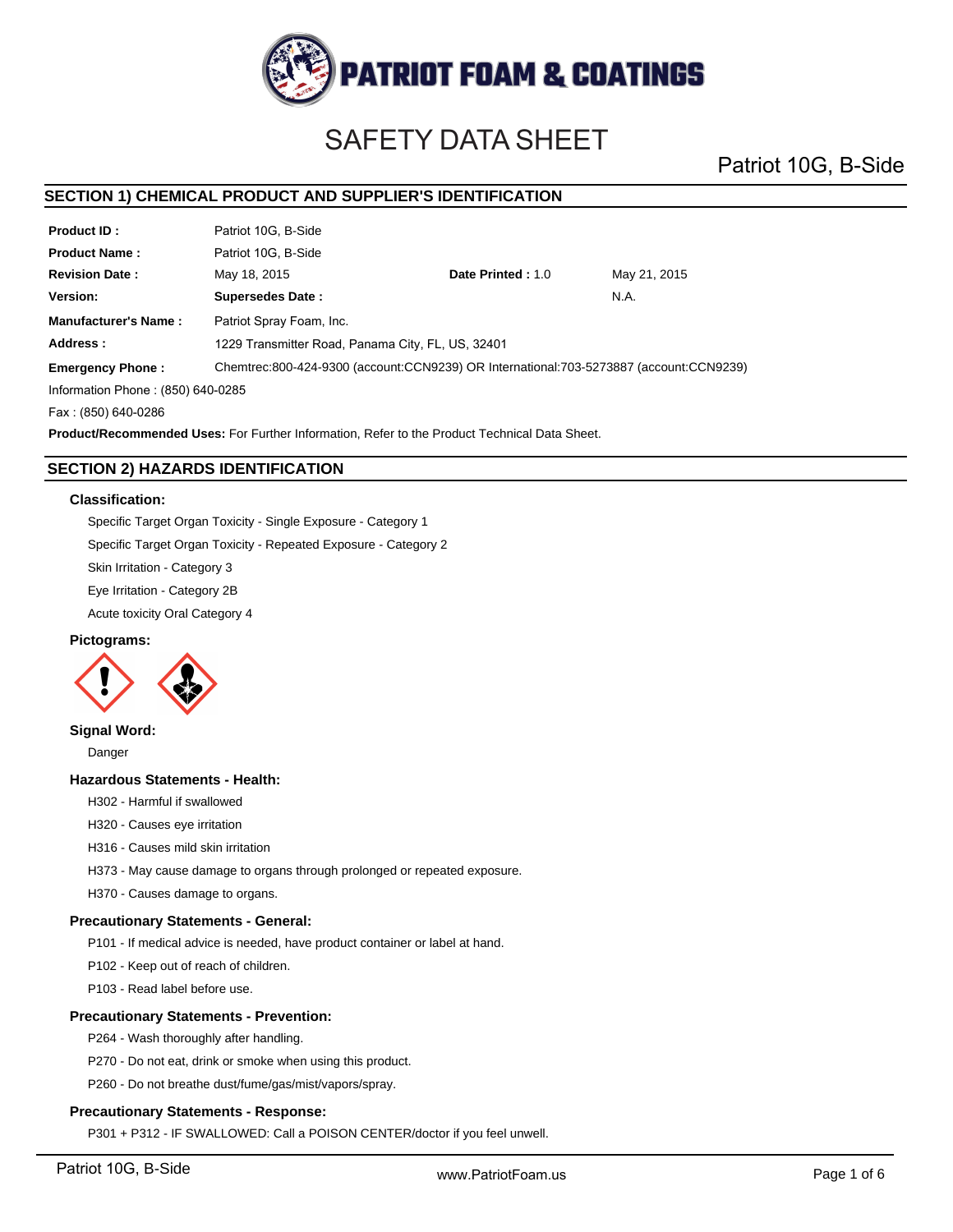

# SAFETY DATA SHEET

Patriot 10G, B-Side

#### **Product ID : Product Name : Manufacturer's Name : Revision Date : Address : SECTION 1) CHEMICAL PRODUCT AND SUPPLIER'S IDENTIFICATION Version:** May 21, 2015 Patriot 10G, B-Side Patriot 10G, B-Side May 18, 2015 **Date Printed :** 1.0 **Supersedes Date :** N.A. **Emergency Phone :** Patriot Spray Foam, Inc. 1229 Transmitter Road, Panama City, FL, US, 32401 Chemtrec:800-424-9300 (account:CCN9239) OR International:703-5273887 (account:CCN9239) Information Phone : (850) 640-0285 Fax : (850) 640-0286 **Product/Recommended Uses:** For Further Information, Refer to the Product Technical Data Sheet.

# **SECTION 2) HAZARDS IDENTIFICATION**

#### **Classification:**

Specific Target Organ Toxicity - Single Exposure - Category 1

Specific Target Organ Toxicity - Repeated Exposure - Category 2

Skin Irritation - Category 3

Eye Irritation - Category 2B

Acute toxicity Oral Category 4

### **Pictograms:**



#### **Signal Word:**

Danger

#### **Hazardous Statements - Health:**

H302 - Harmful if swallowed

H320 - Causes eye irritation

H316 - Causes mild skin irritation

H373 - May cause damage to organs through prolonged or repeated exposure.

H370 - Causes damage to organs.

# **Precautionary Statements - General:**

P101 - If medical advice is needed, have product container or label at hand.

P102 - Keep out of reach of children.

P103 - Read label before use.

#### **Precautionary Statements - Prevention:**

P264 - Wash thoroughly after handling.

P270 - Do not eat, drink or smoke when using this product.

P260 - Do not breathe dust/fume/gas/mist/vapors/spray.

#### **Precautionary Statements - Response:**

P301 + P312 - IF SWALLOWED: Call a POISON CENTER/doctor if you feel unwell.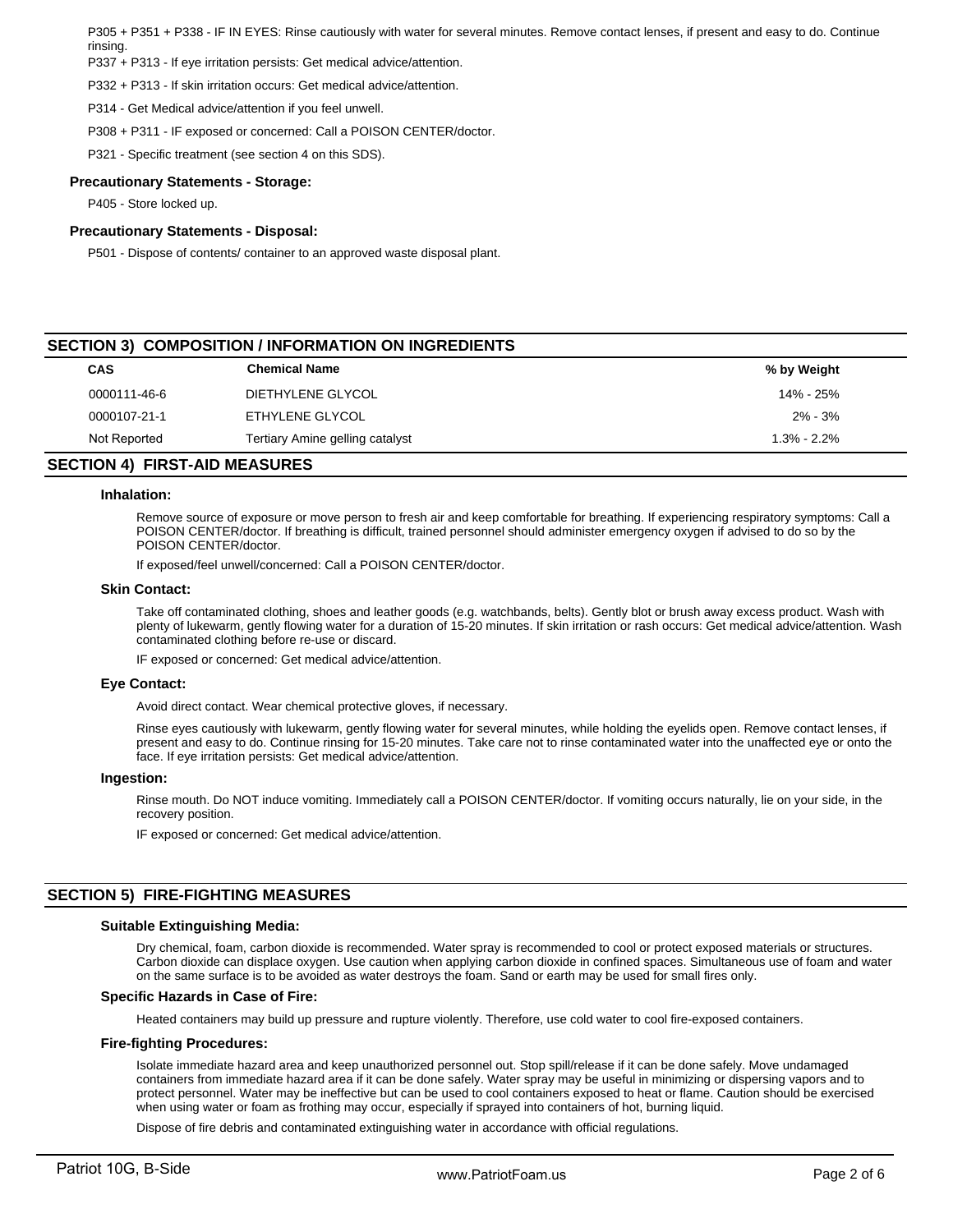P305 + P351 + P338 - IF IN EYES: Rinse cautiously with water for several minutes. Remove contact lenses, if present and easy to do. Continue rinsing.

P337 + P313 - If eye irritation persists: Get medical advice/attention.

P332 + P313 - If skin irritation occurs: Get medical advice/attention.

P314 - Get Medical advice/attention if you feel unwell.

P308 + P311 - IF exposed or concerned: Call a POISON CENTER/doctor.

P321 - Specific treatment (see section 4 on this SDS).

#### **Precautionary Statements - Storage:**

P405 - Store locked up.

#### **Precautionary Statements - Disposal:**

P501 - Dispose of contents/ container to an approved waste disposal plant.

# **CAS Chemical Name % by Weight SECTION 3) COMPOSITION / INFORMATION ON INGREDIENTS** 0000111-46-6 DIETHYLENE GLYCOL 14% - 25% 0000107-21-1 ETHYLENE GLYCOL 2% - 3% Not Reported **Tertiary Amine gelling catalyst** 1.3% - 2.2%

#### **SECTION 4) FIRST-AID MEASURES**

#### **Inhalation:**

Remove source of exposure or move person to fresh air and keep comfortable for breathing. If experiencing respiratory symptoms: Call a POISON CENTER/doctor. If breathing is difficult, trained personnel should administer emergency oxygen if advised to do so by the POISON CENTER/doctor.

If exposed/feel unwell/concerned: Call a POISON CENTER/doctor.

#### **Skin Contact:**

Take off contaminated clothing, shoes and leather goods (e.g. watchbands, belts). Gently blot or brush away excess product. Wash with plenty of lukewarm, gently flowing water for a duration of 15-20 minutes. If skin irritation or rash occurs: Get medical advice/attention. Wash contaminated clothing before re-use or discard.

IF exposed or concerned: Get medical advice/attention.

#### **Eye Contact:**

Avoid direct contact. Wear chemical protective gloves, if necessary.

Rinse eyes cautiously with lukewarm, gently flowing water for several minutes, while holding the eyelids open. Remove contact lenses, if present and easy to do. Continue rinsing for 15-20 minutes. Take care not to rinse contaminated water into the unaffected eye or onto the face. If eye irritation persists: Get medical advice/attention.

#### **Ingestion:**

Rinse mouth. Do NOT induce vomiting. Immediately call a POISON CENTER/doctor. If vomiting occurs naturally, lie on your side, in the recovery position.

IF exposed or concerned: Get medical advice/attention.

# **SECTION 5) FIRE-FIGHTING MEASURES**

#### **Suitable Extinguishing Media:**

Dry chemical, foam, carbon dioxide is recommended. Water spray is recommended to cool or protect exposed materials or structures. Carbon dioxide can displace oxygen. Use caution when applying carbon dioxide in confined spaces. Simultaneous use of foam and water on the same surface is to be avoided as water destroys the foam. Sand or earth may be used for small fires only.

#### **Specific Hazards in Case of Fire:**

Heated containers may build up pressure and rupture violently. Therefore, use cold water to cool fire-exposed containers.

#### **Fire-fighting Procedures:**

Isolate immediate hazard area and keep unauthorized personnel out. Stop spill/release if it can be done safely. Move undamaged containers from immediate hazard area if it can be done safely. Water spray may be useful in minimizing or dispersing vapors and to protect personnel. Water may be ineffective but can be used to cool containers exposed to heat or flame. Caution should be exercised when using water or foam as frothing may occur, especially if sprayed into containers of hot, burning liquid.

Dispose of fire debris and contaminated extinguishing water in accordance with official regulations.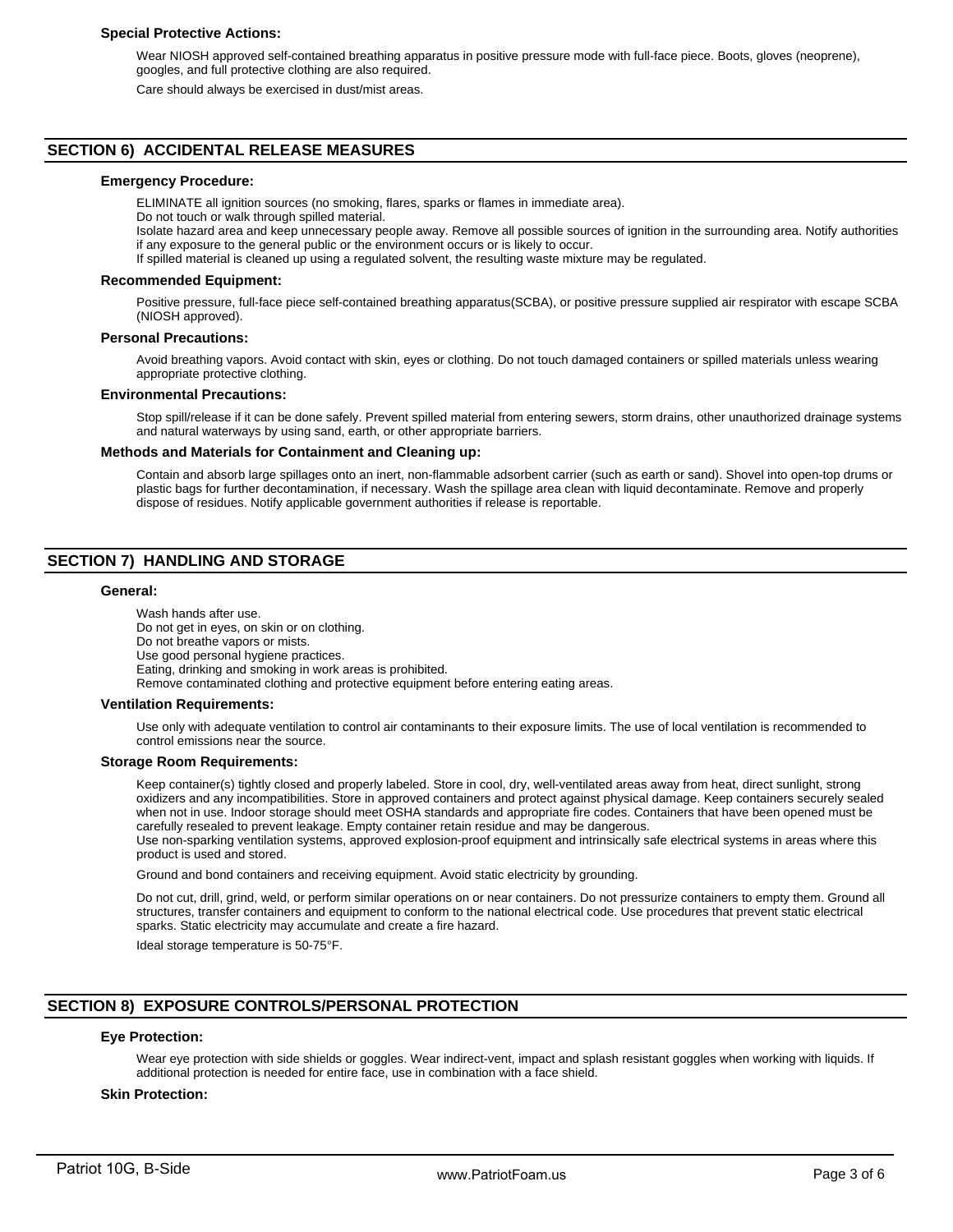#### **Special Protective Actions:**

Wear NIOSH approved self-contained breathing apparatus in positive pressure mode with full-face piece. Boots, gloves (neoprene), googles, and full protective clothing are also required.

Care should always be exercised in dust/mist areas.

#### **SECTION 6) ACCIDENTAL RELEASE MEASURES**

# **Emergency Procedure:**

ELIMINATE all ignition sources (no smoking, flares, sparks or flames in immediate area).

Do not touch or walk through spilled material.

Isolate hazard area and keep unnecessary people away. Remove all possible sources of ignition in the surrounding area. Notify authorities if any exposure to the general public or the environment occurs or is likely to occur.

If spilled material is cleaned up using a regulated solvent, the resulting waste mixture may be regulated.

#### **Recommended Equipment:**

Positive pressure, full-face piece self-contained breathing apparatus(SCBA), or positive pressure supplied air respirator with escape SCBA (NIOSH approved).

#### **Personal Precautions:**

Avoid breathing vapors. Avoid contact with skin, eyes or clothing. Do not touch damaged containers or spilled materials unless wearing appropriate protective clothing.

#### **Environmental Precautions:**

Stop spill/release if it can be done safely. Prevent spilled material from entering sewers, storm drains, other unauthorized drainage systems and natural waterways by using sand, earth, or other appropriate barriers.

#### **Methods and Materials for Containment and Cleaning up:**

Contain and absorb large spillages onto an inert, non-flammable adsorbent carrier (such as earth or sand). Shovel into open-top drums or plastic bags for further decontamination, if necessary. Wash the spillage area clean with liquid decontaminate. Remove and properly dispose of residues. Notify applicable government authorities if release is reportable.

# **SECTION 7) HANDLING AND STORAGE**

#### **General:**

Wash hands after use. Do not get in eyes, on skin or on clothing. Do not breathe vapors or mists. Use good personal hygiene practices. Eating, drinking and smoking in work areas is prohibited. Remove contaminated clothing and protective equipment before entering eating areas.

#### **Ventilation Requirements:**

Use only with adequate ventilation to control air contaminants to their exposure limits. The use of local ventilation is recommended to control emissions near the source.

#### **Storage Room Requirements:**

Keep container(s) tightly closed and properly labeled. Store in cool, dry, well-ventilated areas away from heat, direct sunlight, strong oxidizers and any incompatibilities. Store in approved containers and protect against physical damage. Keep containers securely sealed when not in use. Indoor storage should meet OSHA standards and appropriate fire codes. Containers that have been opened must be carefully resealed to prevent leakage. Empty container retain residue and may be dangerous.

Use non-sparking ventilation systems, approved explosion-proof equipment and intrinsically safe electrical systems in areas where this product is used and stored.

Ground and bond containers and receiving equipment. Avoid static electricity by grounding.

Do not cut, drill, grind, weld, or perform similar operations on or near containers. Do not pressurize containers to empty them. Ground all structures, transfer containers and equipment to conform to the national electrical code. Use procedures that prevent static electrical sparks. Static electricity may accumulate and create a fire hazard.

Ideal storage temperature is 50-75°F.

# **SECTION 8) EXPOSURE CONTROLS/PERSONAL PROTECTION**

#### **Eye Protection:**

Wear eye protection with side shields or goggles. Wear indirect-vent, impact and splash resistant goggles when working with liquids. If additional protection is needed for entire face, use in combination with a face shield.

#### **Skin Protection:**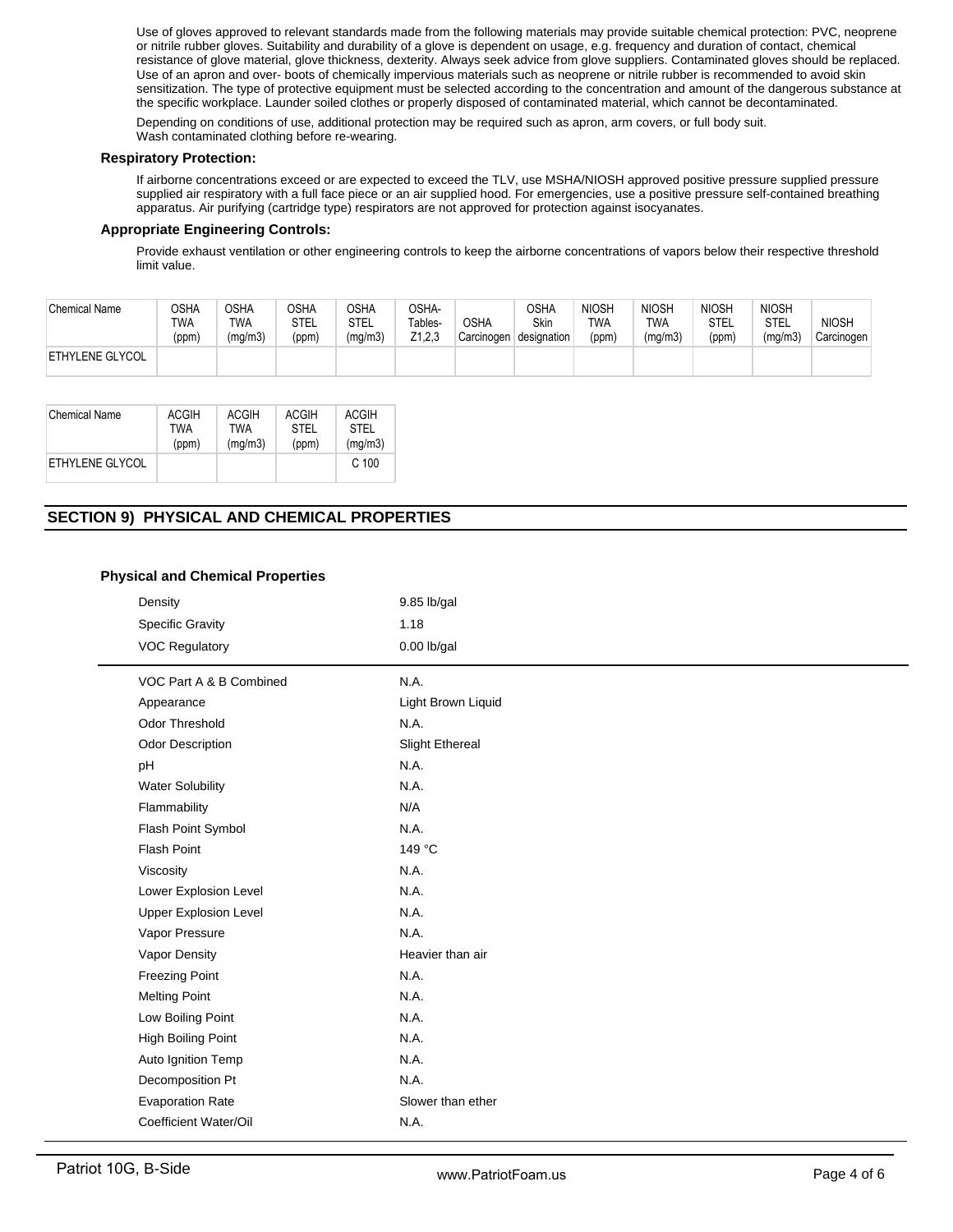Use of gloves approved to relevant standards made from the following materials may provide suitable chemical protection: PVC, neoprene or nitrile rubber gloves. Suitability and durability of a glove is dependent on usage, e.g. frequency and duration of contact, chemical resistance of glove material, glove thickness, dexterity. Always seek advice from glove suppliers. Contaminated gloves should be replaced. Use of an apron and over- boots of chemically impervious materials such as neoprene or nitrile rubber is recommended to avoid skin sensitization. The type of protective equipment must be selected according to the concentration and amount of the dangerous substance at the specific workplace. Launder soiled clothes or properly disposed of contaminated material, which cannot be decontaminated.

Depending on conditions of use, additional protection may be required such as apron, arm covers, or full body suit. Wash contaminated clothing before re-wearing.

#### **Respiratory Protection:**

If airborne concentrations exceed or are expected to exceed the TLV, use MSHA/NIOSH approved positive pressure supplied pressure supplied air respiratory with a full face piece or an air supplied hood. For emergencies, use a positive pressure self-contained breathing apparatus. Air purifying (cartridge type) respirators are not approved for protection against isocyanates.

#### **Appropriate Engineering Controls:**

Provide exhaust ventilation or other engineering controls to keep the airborne concentrations of vapors below their respective threshold limit value.

| <b>Chemical Name</b>   | OSHA<br>TWA<br>(ppm) | <b>OSHA</b><br><b>TWA</b><br>(mg/m3) | OSHA<br>STEL<br>(ppm) | OSHA<br>STEL<br>(mg/m3) | OSHA-<br>Tables-<br>Z1,2,3 | <b>OSHA</b><br>Carcinogen | <b>OSHA</b><br><b>Skin</b><br>designation | <b>NIOSH</b><br><b>TWA</b><br>(ppm) | <b>NIOSH</b><br>TWA<br>(mg/m3) | <b>NIOSH</b><br>STEL<br>(ppm) | <b>NIOSH</b><br>STEL<br>(mg/m3) | <b>NIOSH</b><br>Carcinogen |
|------------------------|----------------------|--------------------------------------|-----------------------|-------------------------|----------------------------|---------------------------|-------------------------------------------|-------------------------------------|--------------------------------|-------------------------------|---------------------------------|----------------------------|
| <b>ETHYLENE GLYCOL</b> |                      |                                      |                       |                         |                            |                           |                                           |                                     |                                |                               |                                 |                            |

| Chemical Name   | ACGIH      | <b>ACGIH</b> | <b>ACGIH</b> | <b>ACGIH</b> |
|-----------------|------------|--------------|--------------|--------------|
|                 | <b>TWA</b> | TWA          | STFI         | STFI         |
|                 | (ppm)      | (mq/m3)      | (ppm)        | (mg/m3)      |
| ETHYLENE GLYCOL |            |              |              | C.100        |

# **SECTION 9) PHYSICAL AND CHEMICAL PROPERTIES**

### **Physical and Chemical Properties**

| Density                      | $9.85$ lb/gal          |
|------------------------------|------------------------|
| <b>Specific Gravity</b>      | 1.18                   |
| <b>VOC Regulatory</b>        | $0.00$ lb/gal          |
| VOC Part A & B Combined      | N.A.                   |
| Appearance                   | Light Brown Liquid     |
| <b>Odor Threshold</b>        | N.A.                   |
| <b>Odor Description</b>      | <b>Slight Ethereal</b> |
| pH                           | N.A.                   |
| <b>Water Solubility</b>      | N.A.                   |
| Flammability                 | N/A                    |
| Flash Point Symbol           | N.A.                   |
| <b>Flash Point</b>           | 149 °C                 |
| Viscosity                    | N.A.                   |
| Lower Explosion Level        | N.A.                   |
| <b>Upper Explosion Level</b> | N.A.                   |
| Vapor Pressure               | N.A.                   |
| Vapor Density                | Heavier than air       |
| <b>Freezing Point</b>        | N.A.                   |
| <b>Melting Point</b>         | N.A.                   |
| Low Boiling Point            | N.A.                   |
| High Boiling Point           | N.A.                   |
| Auto Ignition Temp           | N.A.                   |
| Decomposition Pt             | N.A.                   |
| <b>Evaporation Rate</b>      | Slower than ether      |
| Coefficient Water/Oil        | N.A.                   |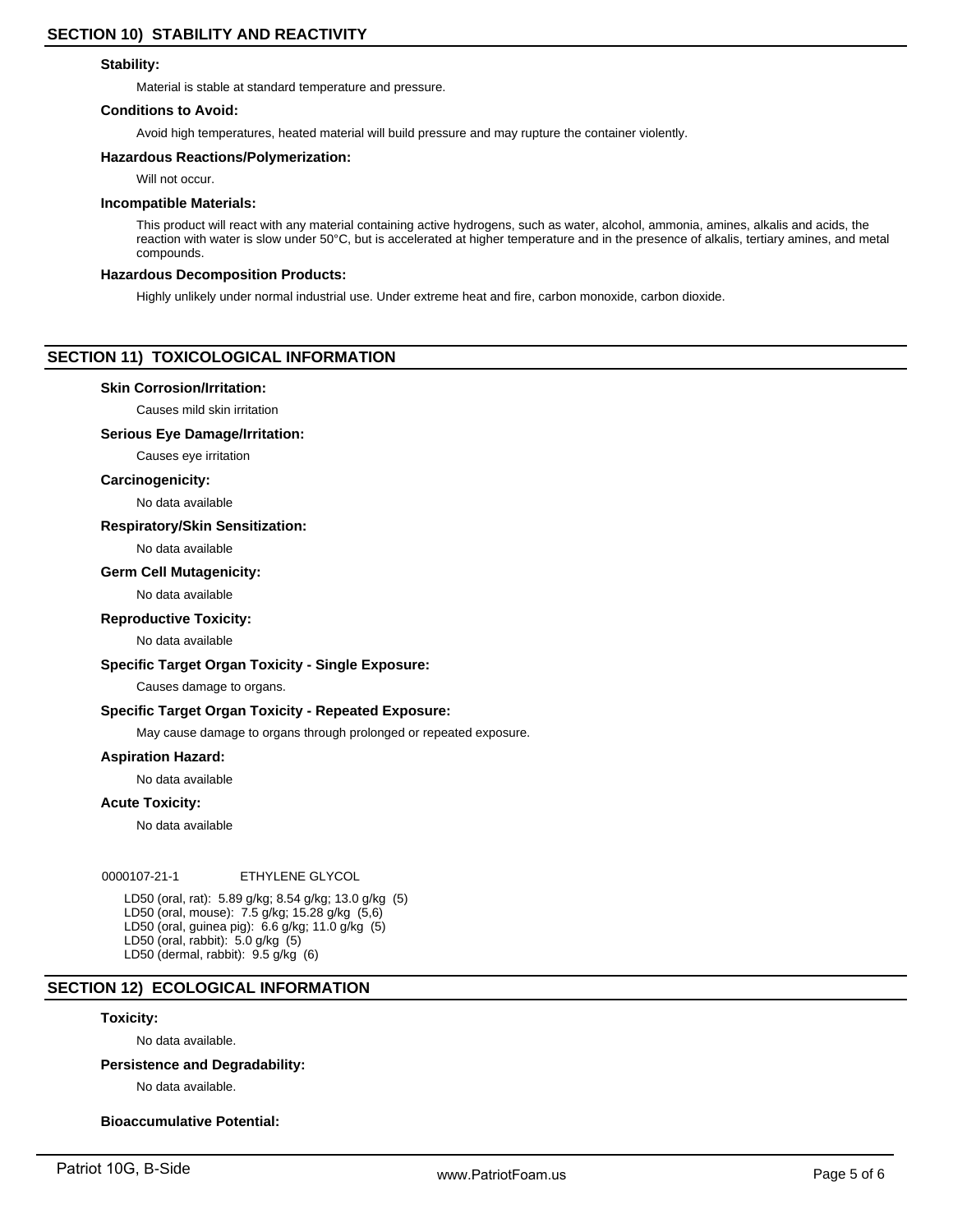#### **Stability:**

Material is stable at standard temperature and pressure.

#### **Conditions to Avoid:**

Avoid high temperatures, heated material will build pressure and may rupture the container violently.

#### **Hazardous Reactions/Polymerization:**

Will not occur.

#### **Incompatible Materials:**

This product will react with any material containing active hydrogens, such as water, alcohol, ammonia, amines, alkalis and acids, the reaction with water is slow under 50°C, but is accelerated at higher temperature and in the presence of alkalis, tertiary amines, and metal compounds.

#### **Hazardous Decomposition Products:**

Highly unlikely under normal industrial use. Under extreme heat and fire, carbon monoxide, carbon dioxide.

# **SECTION 11) TOXICOLOGICAL INFORMATION**

#### **Skin Corrosion/Irritation:**

Causes mild skin irritation

#### **Serious Eye Damage/Irritation:**

Causes eye irritation

#### **Carcinogenicity:**

No data available

#### **Respiratory/Skin Sensitization:**

No data available

#### **Germ Cell Mutagenicity:**

No data available

#### **Reproductive Toxicity:**

No data available

#### **Specific Target Organ Toxicity - Single Exposure:**

Causes damage to organs.

#### **Specific Target Organ Toxicity - Repeated Exposure:**

May cause damage to organs through prolonged or repeated exposure.

# **Aspiration Hazard:**

No data available

#### **Acute Toxicity:**

No data available

#### 0000107-21-1 ETHYLENE GLYCOL

LD50 (oral, rat): 5.89 g/kg; 8.54 g/kg; 13.0 g/kg (5) LD50 (oral, mouse): 7.5 g/kg; 15.28 g/kg (5,6) LD50 (oral, guinea pig): 6.6 g/kg; 11.0 g/kg (5) LD50 (oral, rabbit): 5.0 g/kg (5) LD50 (dermal, rabbit): 9.5 g/kg (6)

# **SECTION 12) ECOLOGICAL INFORMATION**

#### **Toxicity:**

No data available.

# **Persistence and Degradability:**

No data available.

# **Bioaccumulative Potential:**